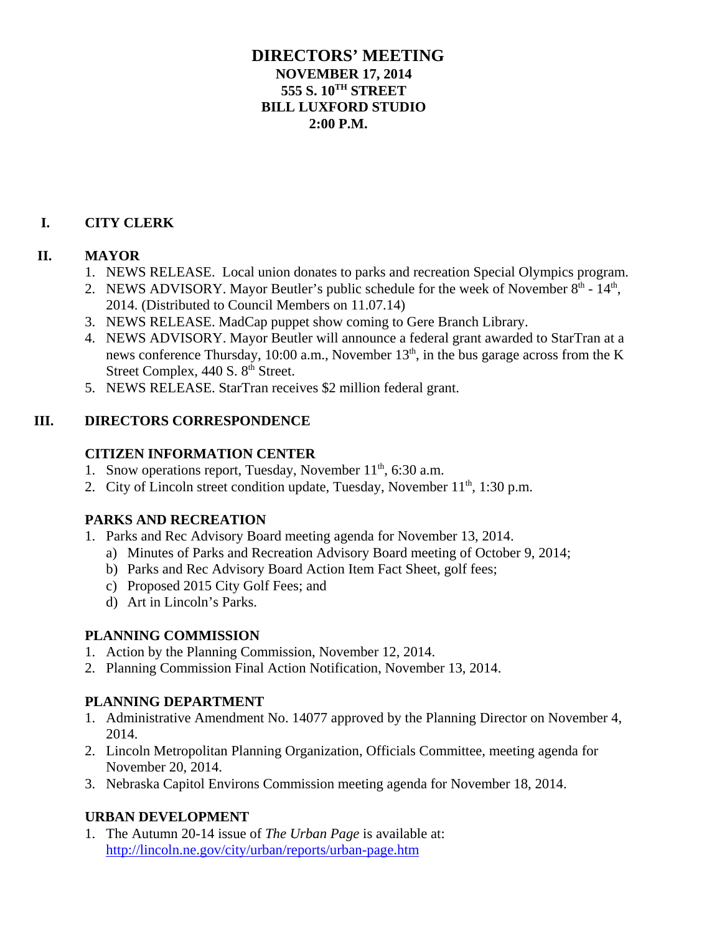### **DIRECTORS' MEETING NOVEMBER 17, 2014 555 S. 10TH STREET BILL LUXFORD STUDIO 2:00 P.M.**

## **I. CITY CLERK**

#### **II. MAYOR**

- 1. NEWS RELEASE. Local union donates to parks and recreation Special Olympics program.
- 2. NEWS ADVISORY. Mayor Beutler's public schedule for the week of November  $8<sup>th</sup>$   $14<sup>th</sup>$ , 2014. (Distributed to Council Members on 11.07.14)
- 3. NEWS RELEASE. MadCap puppet show coming to Gere Branch Library.
- 4. NEWS ADVISORY. Mayor Beutler will announce a federal grant awarded to StarTran at a news conference Thursday, 10:00 a.m., November  $13<sup>th</sup>$ , in the bus garage across from the K Street Complex, 440 S. 8<sup>th</sup> Street.
- 5. NEWS RELEASE. StarTran receives \$2 million federal grant.

### **III. DIRECTORS CORRESPONDENCE**

### **CITIZEN INFORMATION CENTER**

- 1. Snow operations report, Tuesday, November  $11<sup>th</sup>$ , 6:30 a.m.
- 2. City of Lincoln street condition update, Tuesday, November  $11<sup>th</sup>$ , 1:30 p.m.

# **PARKS AND RECREATION**

- 1. Parks and Rec Advisory Board meeting agenda for November 13, 2014.
	- a) Minutes of Parks and Recreation Advisory Board meeting of October 9, 2014;
	- b) Parks and Rec Advisory Board Action Item Fact Sheet, golf fees;
	- c) Proposed 2015 City Golf Fees; and
	- d) Art in Lincoln's Parks.

# **PLANNING COMMISSION**

- 1. Action by the Planning Commission, November 12, 2014.
- 2. Planning Commission Final Action Notification, November 13, 2014.

# **PLANNING DEPARTMENT**

- 1. Administrative Amendment No. 14077 approved by the Planning Director on November 4, 2014.
- 2. Lincoln Metropolitan Planning Organization, Officials Committee, meeting agenda for November 20, 2014.
- 3. Nebraska Capitol Environs Commission meeting agenda for November 18, 2014.

# **URBAN DEVELOPMENT**

1. The Autumn 20-14 issue of *The Urban Page* is available at: http://lincoln.ne.gov/city/urban/reports/urban-page.htm